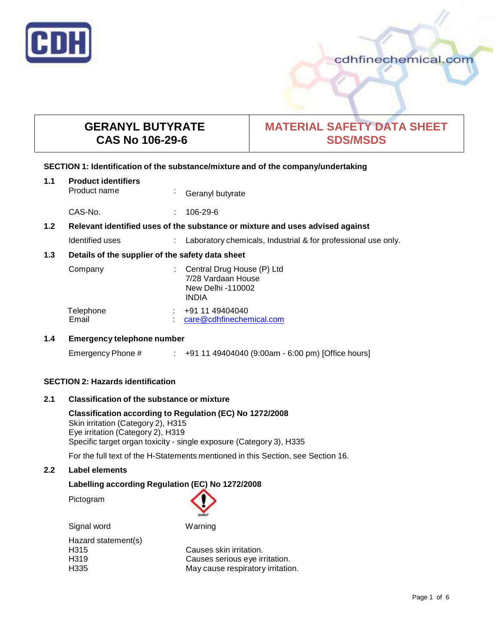

# **GERANYL BUTYRATE CAS No 106-29-6**

# **MATERIAL SAFETY DATA SHEET SDS/MSDS**

### **SECTION 1: Identification of the substance/mixture and of the company/undertaking**

| 1.1 | <b>Product identifiers</b><br>Product name                                    | $\mathbf{r}$ | Geranyl butyrate                                                                      |
|-----|-------------------------------------------------------------------------------|--------------|---------------------------------------------------------------------------------------|
|     | CAS-No.                                                                       | ÷            | $106 - 29 - 6$                                                                        |
| 1.2 | Relevant identified uses of the substance or mixture and uses advised against |              |                                                                                       |
|     | Identified uses                                                               | ÷            | Laboratory chemicals, Industrial & for professional use only.                         |
| 1.3 | Details of the supplier of the safety data sheet                              |              |                                                                                       |
|     | Company                                                                       |              | Central Drug House (P) Ltd<br>7/28 Vardaan House<br>New Delhi -110002<br><b>INDIA</b> |
|     | Telephone<br>Email                                                            |              | +91 11 49404040<br>care@cdhfinechemical.com                                           |

### **1.4 Emergency telephone number**

Emergency Phone # : +91 11 49404040 (9:00am - 6:00 pm) [Office hours]

### **SECTION 2: Hazards identification**

### **2.1 Classification of the substance ormixture**

**Classification according to Regulation (EC) No 1272/2008** Skin irritation (Category 2), H315 Eye irritation (Category 2), H319 Specific target organ toxicity - single exposure (Category 3), H335

For the full text of the H-Statements mentioned in this Section, see Section 16.

### **2.2 Label elements**

### **Labelling according Regulation (EC) No 1272/2008**

Pictogram



Signal word Warning Hazard statement(s)

H315 Causes skin irritation.<br>
H319 Causes serious eve ir Causes serious eye irritation. H335 May cause respiratory irritation.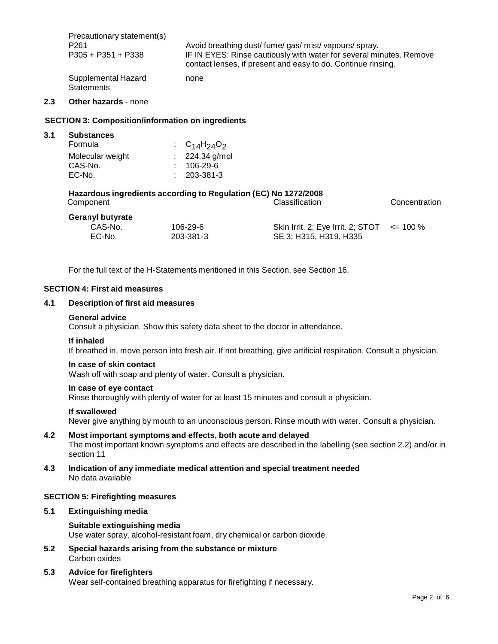| Precautionary statement(s)               | Avoid breathing dust/fume/gas/mist/vapours/spray.                   |
|------------------------------------------|---------------------------------------------------------------------|
| P <sub>261</sub>                         | IF IN EYES: Rinse cautiously with water for several minutes. Remove |
| $P305 + P351 + P338$                     | contact lenses, if present and easy to do. Continue rinsing.        |
| Supplemental Hazard<br><b>Statements</b> | none                                                                |

### **2.3 Other hazards** - none

### **SECTION 3: Composition/information on ingredients**

| 3.1 | <b>Substances</b> |                     |
|-----|-------------------|---------------------|
|     | Formula           | : $C_{14}H_{24}O_2$ |
|     | Molecular weight  | : $224.34$ g/mol    |
|     | CAS-No.           | $: 106-29-6$        |
|     | EC-No.            | $: 203 - 381 - 3$   |

# **Hazardous ingredients according to Regulation (EC) No 1272/2008**

| Component               |           | Classification                                  | Concentration |  |
|-------------------------|-----------|-------------------------------------------------|---------------|--|
| <b>Geranyl butyrate</b> |           |                                                 |               |  |
| CAS-No.                 | 106-29-6  | Skin Irrit. 2; Eye Irrit. 2; STOT $\le$ = 100 % |               |  |
| EC-No.                  | 203-381-3 | SE 3: H315, H319, H335                          |               |  |

For the full text of the H-Statements mentioned in this Section, see Section 16.

#### **SECTION 4: First aid measures**

#### **4.1 Description of first aid measures**

#### **General advice**

Consult a physician. Show this safety data sheet to the doctor in attendance.

#### **If inhaled**

If breathed in, move person into fresh air. If not breathing, give artificial respiration. Consult a physician.

#### **In case of skin contact**

Wash off with soap and plenty of water. Consult a physician.

#### **In case of eye contact**

Rinse thoroughly with plenty of water for at least 15 minutes and consult a physician.

#### **If swallowed**

Never give anything by mouth to an unconscious person. Rinse mouth with water. Consult a physician.

### **4.2 Most important symptoms and effects, both acute and delayed** The most important known symptoms and effects are described in the labelling (see section 2.2) and/or in section 11

### **4.3 Indication of any immediate medical attention and special treatment needed** No data available

### **SECTION 5: Firefighting measures**

#### **5.1 Extinguishing media**

### **Suitable extinguishing media**

Use water spray, alcohol-resistant foam, dry chemical or carbon dioxide.

**5.2 Special hazards arising from the substance ormixture** Carbon oxides

### **5.3 Advice for firefighters**

Wear self-contained breathing apparatus for firefighting if necessary.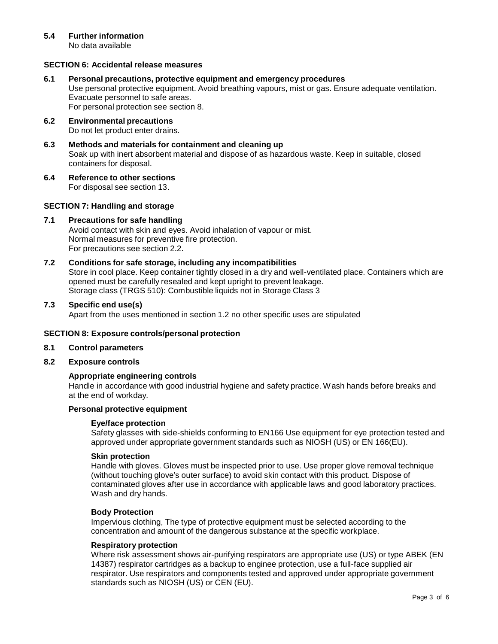### **5.4 Further information**

No data available

### **SECTION 6: Accidental release measures**

#### **6.1 Personal precautions, protective equipment and emergency procedures**

Use personal protective equipment. Avoid breathing vapours, mist or gas. Ensure adequate ventilation. Evacuate personnel to safe areas.

For personal protection see section 8.

- **6.2 Environmental precautions** Do not let product enter drains.
- **6.3 Methods and materials for containment and cleaning up** Soak up with inert absorbent material and dispose of as hazardous waste. Keep in suitable, closed containers for disposal.
- **6.4 Reference to other sections**

For disposal see section 13.

### **SECTION 7: Handling and storage**

### **7.1 Precautions for safe handling**

Avoid contact with skin and eyes. Avoid inhalation of vapour or mist. Normal measures for preventive fire protection. For precautions see section 2.2.

### **7.2 Conditions for safe storage, including any incompatibilities**

Store in cool place. Keep container tightly closed in a dry and well-ventilated place. Containers which are opened must be carefully resealed and kept upright to prevent leakage. Storage class (TRGS 510): Combustible liquids not in Storage Class 3

#### **7.3 Specific end use(s)**

Apart from the uses mentioned in section 1.2 no other specific uses are stipulated

### **SECTION 8: Exposure controls/personal protection**

- **8.1 Control parameters**
- **8.2 Exposure controls**

### **Appropriate engineering controls**

Handle in accordance with good industrial hygiene and safety practice. Wash hands before breaks and at the end of workday.

### **Personal protective equipment**

#### **Eye/face protection**

Safety glasses with side-shields conforming to EN166 Use equipment for eye protection tested and approved under appropriate government standards such as NIOSH (US) or EN 166(EU).

### **Skin protection**

Handle with gloves. Gloves must be inspected prior to use. Use proper glove removal technique (without touching glove's outer surface) to avoid skin contact with this product. Dispose of contaminated gloves after use in accordance with applicable laws and good laboratory practices. Wash and dry hands.

#### **Body Protection**

Impervious clothing, The type of protective equipment must be selected according to the concentration and amount of the dangerous substance at the specific workplace.

#### **Respiratory protection**

Where risk assessment shows air-purifying respirators are appropriate use (US) or type ABEK (EN 14387) respirator cartridges as a backup to enginee protection, use a full-face supplied air respirator. Use respirators and components tested and approved under appropriate government standards such as NIOSH (US) or CEN (EU).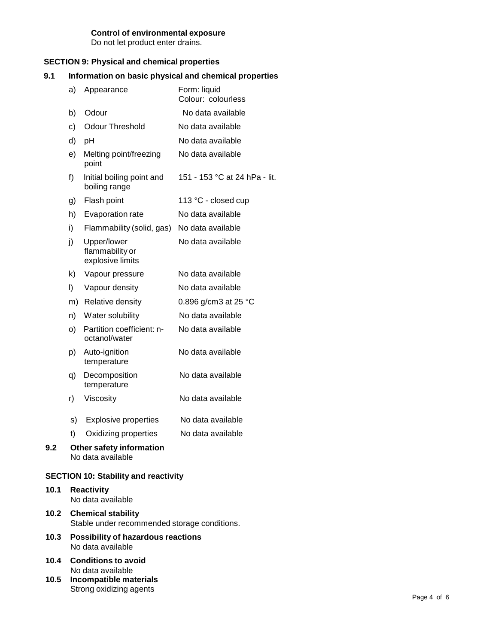### **Control of environmental exposure**

Do not let product enter drains.

### **SECTION 9: Physical and chemical properties**

### **9.1 Information on basic physical and chemical properties**

|     | a)            | Appearance                                         | Form: liquid<br>Colour: colourless |
|-----|---------------|----------------------------------------------------|------------------------------------|
|     | b)            | Odour                                              | No data available                  |
|     | $\mathbf{c})$ | <b>Odour Threshold</b>                             | No data available                  |
|     | d)            | pH                                                 | No data available                  |
|     | e)            | Melting point/freezing<br>point                    | No data available                  |
|     | f)            | Initial boiling point and<br>boiling range         | 151 - 153 °C at 24 hPa - lit.      |
|     | g)            | Flash point                                        | 113 °C - closed cup                |
|     | h)            | Evaporation rate                                   | No data available                  |
|     | i)            | Flammability (solid, gas)                          | No data available                  |
|     | j)            | Upper/lower<br>flammability or<br>explosive limits | No data available                  |
|     | k)            | Vapour pressure                                    | No data available                  |
|     | I)            | Vapour density                                     | No data available                  |
|     |               | m) Relative density                                | 0.896 g/cm3 at 25 °C               |
|     | n)            | Water solubility                                   | No data available                  |
|     | o)            | Partition coefficient: n-<br>octanol/water         | No data available                  |
|     | p)            | Auto-ignition<br>temperature                       | No data available                  |
|     | q)            | Decomposition<br>temperature                       | No data available                  |
|     | r)            | Viscosity                                          | No data available                  |
|     | s)            | <b>Explosive properties</b>                        | No data available                  |
|     | t)            | Oxidizing properties                               | No data available                  |
| 9.2 |               | Other safety information<br>No data available      |                                    |

## **SECTION 10: Stability and reactivity**

- **10.1 Reactivity** No data available
- **10.2 Chemical stability** Stable under recommended storage conditions.
- **10.3 Possibility of hazardous reactions** No data available
- **10.4 Conditions to avoid** No data available
- **10.5 Incompatible materials** Strong oxidizing agents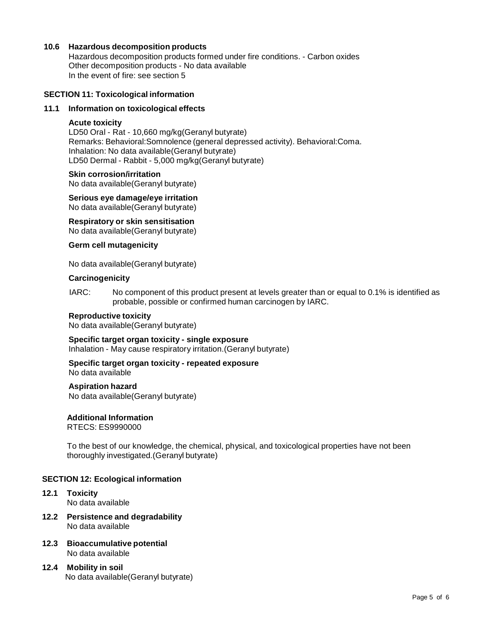### **10.6 Hazardous decomposition products**

Hazardous decomposition products formed under fire conditions. - Carbon oxides Other decomposition products - No data available In the event of fire: see section 5

#### **SECTION 11: Toxicological information**

#### **11.1 Information on toxicological effects**

### **Acute toxicity**

LD50 Oral - Rat - 10,660 mg/kg(Geranyl butyrate) Remarks: Behavioral:Somnolence (general depressed activity). Behavioral:Coma. Inhalation: No data available(Geranyl butyrate) LD50 Dermal - Rabbit - 5,000 mg/kg(Geranyl butyrate)

#### **Skin corrosion/irritation**

No data available(Geranyl butyrate)

### **Serious eye damage/eye irritation**

No data available(Geranyl butyrate)

### **Respiratory orskin sensitisation**

No data available(Geranyl butyrate)

### **Germ cell mutagenicity**

No data available(Geranyl butyrate)

#### **Carcinogenicity**

IARC: No component of this product present at levels greater than or equal to 0.1% is identified as probable, possible or confirmed human carcinogen by IARC.

#### **Reproductive toxicity**

No data available(Geranyl butyrate)

#### **Specific target organ toxicity - single exposure**

Inhalation - May cause respiratory irritation.(Geranyl butyrate)

#### **Specific target organ toxicity - repeated exposure** No data available

#### **Aspiration hazard**

No data available(Geranyl butyrate)

### **Additional Information**

RTECS: ES9990000

To the best of our knowledge, the chemical, physical, and toxicological properties have not been thoroughly investigated.(Geranyl butyrate)

#### **SECTION 12: Ecological information**

- **12.1 Toxicity** No data available
- **12.2 Persistence and degradability** No data available
- **12.3 Bioaccumulative potential** No data available
- **12.4 Mobility in soil** No data available(Geranyl butyrate)